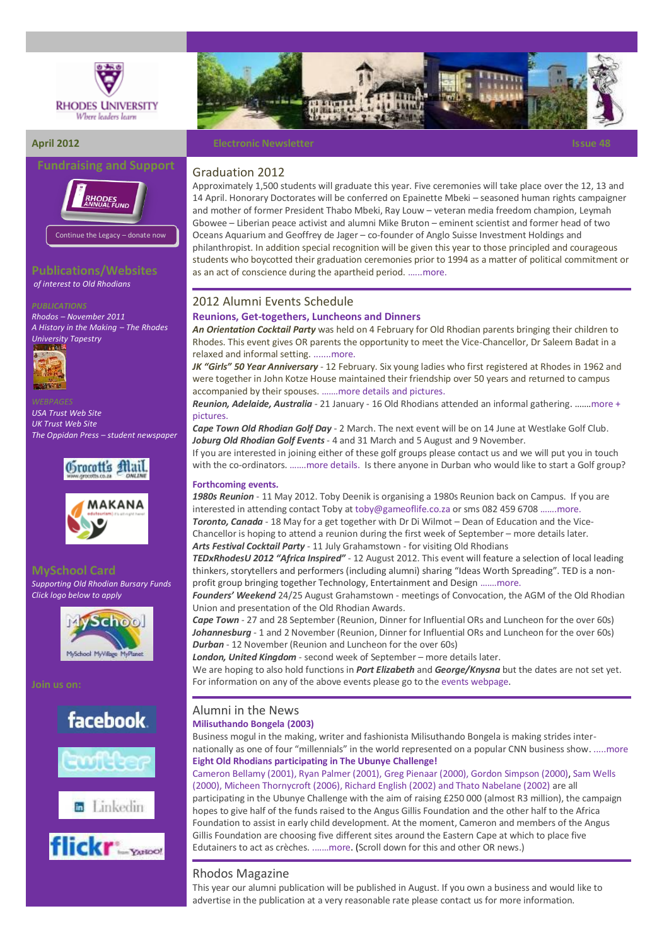





**Publications/Websites**

*of interest to Old Rhodians* 

*Rhodos – [November 2011](http://www.myvirtualpaper.com/doc/rhodes_university/rhodos-november-2011-edition/2011112201/1.html#0) [A History in the Making](http://www.myvirtualpaper.com/doc/rhodes_university/rhodes-tapestry-booklet/2011113001/1.html#0) – The Rhodes [University Tapestry](http://www.myvirtualpaper.com/doc/rhodes_university/rhodes-tapestry-booklet/2011113001/1.html#0)*



*[USA Trust Web Site](http://www.rhodesalumni.com/) [UK Trust Web Site](http://www.rhodesalumni.co.uk/) [The Oppidan Press](http://oppidanpress.com/category/news/) – student newspaper*







*Supporting Old Rhodian Bursary Funds Click logo below to apply*



# **facebook**









### **April 2012 Electronic Newsletter Issue 48 Electronic Newsletter Issue 48**

#### Graduation 2012

Approximately 1,500 students will graduate this year. Five ceremonies will take place over the 12, 13 and 14 April. Honorary Doctorates will be conferred on Epainette Mbeki – seasoned human rights campaigner and mother of former President Thabo Mbeki, Ray Louw – veteran media freedom champion, Leymah Gbowee – Liberian peace activist and alumni Mike Bruton – eminent scientist and former head of two Oceans Aquarium and Geoffrey de Jager – co-founder of Anglo Suisse Investment Holdings and philanthropist. In addition special recognition will be given this year to those principled and courageous students who boycotted their graduation ceremonies prior to 1994 as a matter of political commitment or as an act of conscience during the apartheid period. […...m](http://www.grocotts.co.za/content/advocates-and-activists-honorary-doctorates-01-04-2012)ore.

#### 2012 Alumni Events Schedule

#### **Reunions, Get-togethers, Luncheons and Dinners**

*An Orientation Cocktail Party* was held on 4 February for Old Rhodian parents bringing their children to Rhodes. This event gives OR parents the opportunity to meet the Vice-Chancellor, Dr Saleem Badat in a relaxed and informal setting[. .......more.](http://www.ru.ac.za/alumni/events/oncampusevents/name,56032,en.html)

*JK "Girls" 50 Year Anniversary* - 12 February. Six young ladies who first registered at Rhodes in 1962 and were together in John Kotze House maintained their friendship over 50 years and returned to campus accompanied by their spouses. …….more [details and pictures.](http://www.ru.ac.za/alumni/events/oncampusevents/name,56042,en.html)

*Reunion, Adelaide, Australia* - 21 January - 16 Old Rhodians attended an informal gathering. …….[more](http://www.ru.ac.za/alumni/events/reunions/adelaidesouthaustralia/) + pictures.

*Cape Town Old Rhodian Golf Day* - 2 March. The next event will be on 14 June at Westlake Golf Club. *Joburg Old Rhodian Golf Events*- 4 and 31 March and 5 August and 9 November.

If you are interested in joining either of these golf groups please contact us and we will put you in touch with the co-ordinators. .......more details. Is there anyone in Durban who would like to start a Golf group?

#### **Forthcoming events***.*

1980s Reunion - 11 May 2012. Toby Deenik is organising a 1980s Reunion back on Campus. If you are interested in attending contact Toby at [toby@gameoflife.co.za](mailto:toby@gameoflife.co.za) or sms 082 459 6708 .......more. *Toronto, Canada* - 18 May for a get together with Dr Di Wilmot – Dean of Education and the Vice-Chancellor is hoping to attend a reunion during the first week of September – more details later.

*Arts Festival Cocktail Party* - 11 July Grahamstown - for visiting Old Rhodians

*TEDxRhodesU 2012 "Africa Inspired"* - 12 August 2012. This event will feature a selection of local leading thinkers, storytellers and performers (including alumni) sharing "Ideas Worth Spreading". TED is a nonprofit group bringing together Technology, Entertainment and Design […….more.](http://tedxrhodesu.wordpress.com/)

*Founders' Weekend* 24/25 August Grahamstown - meetings of Convocation, the AGM of the Old Rhodian Union and presentation of the Old Rhodian Awards.

*Cape Town* - 27 and 28 September (Reunion, Dinner for Influential ORs and Luncheon for the over 60s) *Johannesburg* - 1 and 2 November (Reunion, Dinner for Influential ORs and Luncheon for the over 60s) *Durban* - 12 November (Reunion and Luncheon for the over 60s)

*London, United Kingdom* - second week of September – more details later.

We are hoping to also hold functions in *Port Elizabeth* and *George/Knysna* but the dates are not set yet. For information on any of the above events please go to the [events webpage.](http://www.ru.ac.za/alumni/events/)

# Alumni in the News

**Milisuthando Bongela (2003)** Business mogul in the making, writer and fashionista Milisuthando Bongela is making strides inter-

nationally as one of four "millennials" in the world represented on a popular CNN business show. [.....more](http://www.ru.ac.za/latestnews/name,55820,en.html) **Eight Old Rhodians participating in The Ubunye Challenge!**

Cameron Bellamy (2001), Ryan Palmer (2001), Greg Pienaar (2000), Gordon Simpson (2000), Sam Wells (2000), Micheen Thornycroft (2006), Richard English (2002) and Thato Nabelane (2002) are all participating in the Ubunye Challenge with the aim of raising £250 000 (almost R3 million), the campaign hopes to give half of the funds raised to the Angus Gillis Foundation and the other half to the Africa Foundation to assist in early child development. At the moment, Cameron and members of the Angus Gillis Foundation are choosing five different sites around the Eastern Cape at which to place five Edutainers to act as crèches. [.……m](http://www.ru.ac.za/alumni/alumniinthenews/)ore. (Scroll down for this and other OR news.)

## Rhodos Magazine

This year our alumni publication will be published in August. If you own a business and would like to advertise in the publication at a very reasonable rate please contact us for more information.